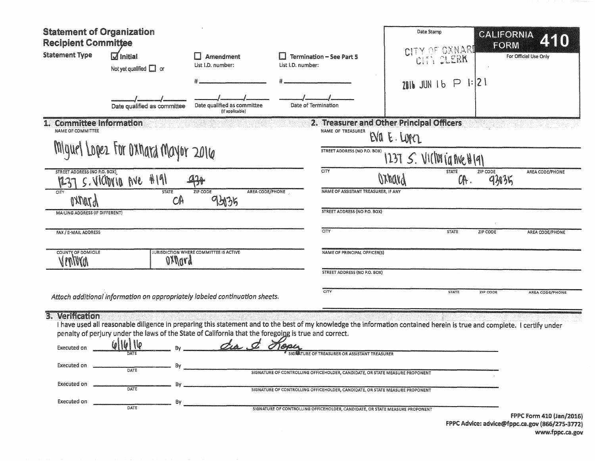| <b>Statement of Organization</b><br><b>Recipient Committee</b>              |                                                                                                                                                         |                                                | Date Stamp                                                                                                                                                                                                                                                                                                                                                                                                                                                               |                                           | CALIFORNIA<br>FORM              |                                 |
|-----------------------------------------------------------------------------|---------------------------------------------------------------------------------------------------------------------------------------------------------|------------------------------------------------|--------------------------------------------------------------------------------------------------------------------------------------------------------------------------------------------------------------------------------------------------------------------------------------------------------------------------------------------------------------------------------------------------------------------------------------------------------------------------|-------------------------------------------|---------------------------------|---------------------------------|
| <b>Statement Type</b>                                                       | $\overline{\mathsf{d}}$ Initial<br>Not yet qualified $\Box$ or                                                                                          | Amendment<br>List I.D. number:                 | <b>Termination - See Part 5</b><br>List I.D. number:                                                                                                                                                                                                                                                                                                                                                                                                                     | CITY OF OXNARD<br>CITY CLERK              |                                 | For Official Use Only           |
|                                                                             |                                                                                                                                                         |                                                |                                                                                                                                                                                                                                                                                                                                                                                                                                                                          | $2016$ JUN 1b $P$ 1:121                   |                                 |                                 |
|                                                                             | Date qualified as committee                                                                                                                             | Date qualified as committee<br>(if applicable) | Date of Termination                                                                                                                                                                                                                                                                                                                                                                                                                                                      |                                           |                                 |                                 |
| 1. Committee Information<br>NAME OF COMMITTEE                               |                                                                                                                                                         |                                                | NAME OF TREASURER                                                                                                                                                                                                                                                                                                                                                                                                                                                        | 2. Treasurer and Other Principal Officers |                                 |                                 |
|                                                                             | Miguel Lopez For Oxhard Mayor 2016                                                                                                                      |                                                |                                                                                                                                                                                                                                                                                                                                                                                                                                                                          | EVA E. LOPEL                              |                                 |                                 |
|                                                                             |                                                                                                                                                         |                                                | STREET ADDRESS (NO P.O. BOX)<br>1237 $S$ . VICIVI ja nue H191                                                                                                                                                                                                                                                                                                                                                                                                            |                                           |                                 |                                 |
| STREET ADDRESS (NO P.O. BOX)                                                | 4191<br>S. VIONUB~IVC                                                                                                                                   | 47                                             | CITY                                                                                                                                                                                                                                                                                                                                                                                                                                                                     | Oxhavd                                    | <b>STATE</b><br>ZIP CODE<br>OR. | AREA CODE/PHONE<br>9305         |
| CITY<br>$\mu$ <i>TMVA</i>                                                   | <b>STATE</b><br>CA                                                                                                                                      | AREA CODE/PHONE<br>ZIP CODE<br>951315          | NAME OF ASSISTANT TREASURER, IF ANY                                                                                                                                                                                                                                                                                                                                                                                                                                      |                                           |                                 |                                 |
| MAILING ADDRESS (IF DIFFERENT)                                              |                                                                                                                                                         |                                                | <b>STREET ADDRESS (NO P.O. BOX)</b>                                                                                                                                                                                                                                                                                                                                                                                                                                      |                                           |                                 |                                 |
| FAX / E-MAIL ADDRESS                                                        |                                                                                                                                                         |                                                | CITY                                                                                                                                                                                                                                                                                                                                                                                                                                                                     |                                           | <b>STATE</b><br>ZIP CODE        | AREA CODE/PHONE                 |
| COUNTY OF DOMICILE<br>(INVM)                                                | oxpora                                                                                                                                                  | JURISDICTION WHERE COMMITTEE IS ACTIVE         | NAME OF PRINCIPAL OFFICER(S)                                                                                                                                                                                                                                                                                                                                                                                                                                             |                                           |                                 |                                 |
|                                                                             |                                                                                                                                                         |                                                | STREET ADDRESS (NO P.O. BOX)                                                                                                                                                                                                                                                                                                                                                                                                                                             |                                           |                                 |                                 |
|                                                                             | Attach additional information on appropriately labeled continuation sheets.                                                                             |                                                | CITY                                                                                                                                                                                                                                                                                                                                                                                                                                                                     |                                           | <b>STATE</b><br>ZIP CODE        | AREA CODE/PHONE                 |
| 3. Verification<br>Executed on<br>Executed on<br>Executed on<br>Executed on | penalty of perjury under the laws of the State of California that the foregoing is true and correct.<br>10<br>DATE<br><b>DATE</b><br>DATE<br>By<br>DATE | $Z_A$ .                                        | I have used all reasonable diligence in preparing this statement and to the best of my knowledge the information contained herein is true and complete. I certify under<br>SIGKATURE OF TREASURER OR ASSISTANT TREASURER<br>SIGNATURE OF CONTROLLING OFFICEHOLDER, CANDIDATE, OR STATE MEASURE PROPONENT<br>SIGNATURE OF CONTROLLING OFFICEHOLDER, CANDIDATE, OR STATE MEASURE PROPONENT<br>SIGNATURE OF CONTROLLING OFFICEHOLDER, CANDIDATE, OR STATE MEASURE PROPONENT |                                           |                                 |                                 |
|                                                                             |                                                                                                                                                         |                                                |                                                                                                                                                                                                                                                                                                                                                                                                                                                                          |                                           |                                 | <b>FPPC Form 410 (Jan/2016)</b> |

FPPC Advice: advice@fppc.ca.gov (866/275-3772) www.fppc.ca.gov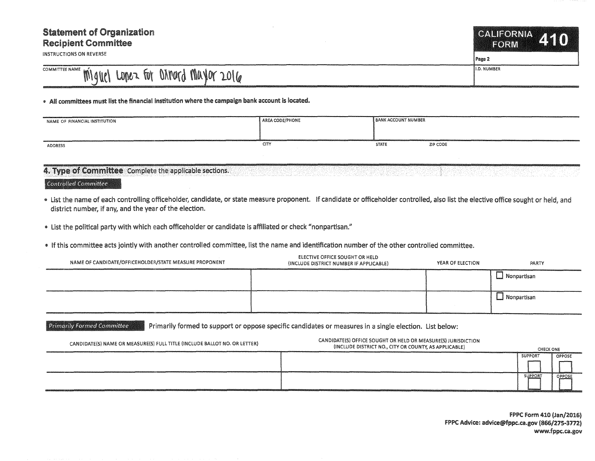## Statement of Organization Recipient Committee

INSTRUCTIONS ON REVERSE

CALIFORNIA FORM

Page 2

## COMMITIEE NAME ' Miguel Lopez for Dimord Mayor 2016

## • All committees must list the financial institution where the campaign bank account is located.

| NAME OF FINANCIAL INSTITUTION | AREA CODE/PHONE | <b>BANK ACCOUNT NUMBER</b> |          |
|-------------------------------|-----------------|----------------------------|----------|
| ADDRESS                       | <b>CITY</b>     | <b>STATE</b>               | ZIP CODE |

## 4. Type of Committee Complete the applicable sections.

Controlled Committee

- List the name of each controlling officeholder, candidate, or state measure proponent. If candidate or officeholder controlled, also list the elective office sought or held, and district number, if any, and the year of the election.
- list the political party with which each officeholder or candidate is affiliated or check "nonpartisan."
- o If this committee acts jointly with another controlled committee, list the name and identification number of the other controlled committee.

| NAME OF CANDIDATE/OFFICEHOLDER/STATE MEASURE PROPONENT | <b>ELECTIVE OFFICE SOUGHT OR HELD</b><br>(INCLUDE DISTRICT NUMBER IF APPLICABLE) | YEAR OF ELECTION | PARTY              |
|--------------------------------------------------------|----------------------------------------------------------------------------------|------------------|--------------------|
|                                                        |                                                                                  |                  | Nonpartisan        |
|                                                        |                                                                                  |                  | $\Box$ Nonpartisan |

Primarily Formed Committee Primarily formed to support or oppose specific candidates or measures in a single election. List below:

CANDIDATE(S) NAME OR MEASURE(S) FULL TITLE (INCLUDE BALLOT NO. OR LETTER) CANDIDATE{S) OFFICE SOUGHT OR HELD OR MEASURE(S) JURISDICTION (INCLUDE DISTRICT NO., CITY OR COUNTY, AS APPLICABLE) CHECK ONE **SUPPORT** OPPOSE **SUPPORT** OPPOSI

> FPPC Form 410 (Jan/2016) f PPC Advice: advice@fppc.ca.gov (866/275-3172) www.fppc.ca.gov